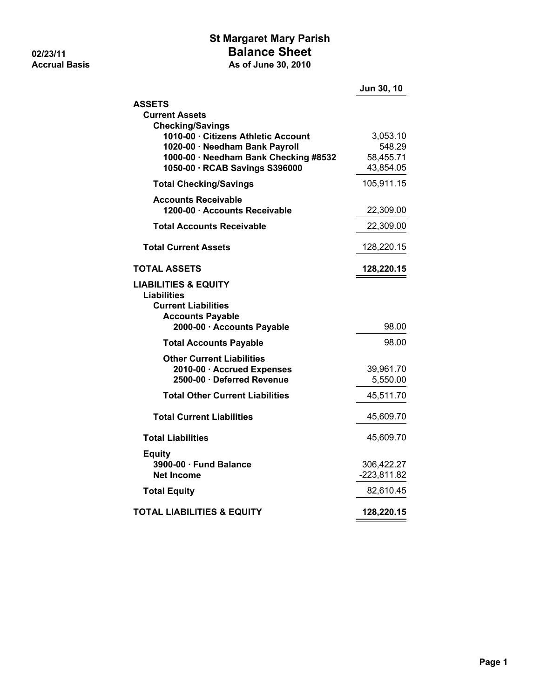## **St Margaret Mary Parish 02/23/11 Balance Sheet Accrual Basis As of June 30, 2010**

|                                                                                                                                                  | Jun 30, 10                                   |
|--------------------------------------------------------------------------------------------------------------------------------------------------|----------------------------------------------|
| <b>ASSETS</b><br><b>Current Assets</b><br><b>Checking/Savings</b>                                                                                |                                              |
| 1010-00 · Citizens Athletic Account<br>1020-00 · Needham Bank Payroll<br>1000-00 · Needham Bank Checking #8532<br>1050-00 · RCAB Savings S396000 | 3,053.10<br>548.29<br>58,455.71<br>43,854.05 |
| <b>Total Checking/Savings</b>                                                                                                                    | 105,911.15                                   |
| <b>Accounts Receivable</b><br>1200-00 · Accounts Receivable                                                                                      | 22,309.00                                    |
| <b>Total Accounts Receivable</b>                                                                                                                 | 22,309.00                                    |
| <b>Total Current Assets</b>                                                                                                                      | 128,220.15                                   |
| TOTAL ASSETS                                                                                                                                     | 128,220.15                                   |
| <b>LIABILITIES &amp; EQUITY</b><br><b>Liabilities</b><br><b>Current Liabilities</b><br><b>Accounts Payable</b>                                   |                                              |
| 2000-00 · Accounts Payable                                                                                                                       | 98.00                                        |
| <b>Total Accounts Payable</b>                                                                                                                    | 98.00                                        |
| <b>Other Current Liabilities</b><br>2010-00 · Accrued Expenses<br>2500-00 · Deferred Revenue                                                     | 39,961.70<br>5,550.00                        |
| <b>Total Other Current Liabilities</b>                                                                                                           | 45,511.70                                    |
| <b>Total Current Liabilities</b>                                                                                                                 | 45,609.70                                    |
| <b>Total Liabilities</b>                                                                                                                         | 45,609.70                                    |
| <b>Equity</b><br>3900-00 · Fund Balance<br><b>Net Income</b>                                                                                     | 306,422.27<br>$-223,811.82$                  |
| <b>Total Equity</b>                                                                                                                              | 82,610.45                                    |
| <b>TOTAL LIABILITIES &amp; EQUITY</b>                                                                                                            | 128,220.15                                   |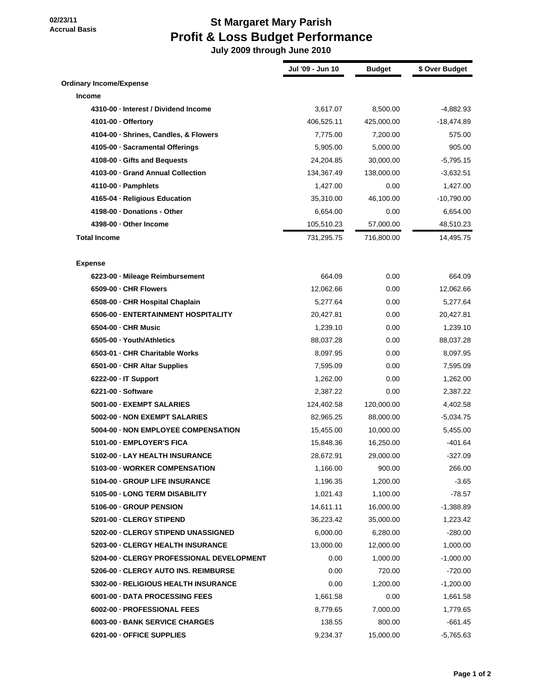**02/23/11**

## **St Margaret Mary Parish Profit & Loss Budget Performance**

 **July 2009 through June 2010**

|                                           | Jul '09 - Jun 10 | <b>Budget</b> | \$ Over Budget |
|-------------------------------------------|------------------|---------------|----------------|
| <b>Ordinary Income/Expense</b>            |                  |               |                |
| <b>Income</b>                             |                  |               |                |
| 4310-00 - Interest / Dividend Income      | 3,617.07         | 8,500.00      | -4,882.93      |
| 4101-00 - Offertory                       | 406,525.11       | 425,000.00    | $-18,474.89$   |
| 4104-00 · Shrines, Candles, & Flowers     | 7,775.00         | 7,200.00      | 575.00         |
| 4105-00 · Sacramental Offerings           | 5,905.00         | 5,000.00      | 905.00         |
| 4108-00 - Gifts and Bequests              | 24,204.85        | 30,000.00     | $-5,795.15$    |
| 4103-00 - Grand Annual Collection         | 134,367.49       | 138,000.00    | $-3,632.51$    |
| $4110-00 \cdot$ Pamphlets                 | 1,427.00         | 0.00          | 1,427.00       |
| 4165-04 - Religious Education             | 35,310.00        | 46,100.00     | $-10,790.00$   |
| 4198-00 - Donations - Other               | 6,654.00         | 0.00          | 6,654.00       |
| 4398-00 - Other Income                    | 105,510.23       | 57,000.00     | 48,510.23      |
| <b>Total Income</b>                       | 731,295.75       | 716,800.00    | 14,495.75      |
| <b>Expense</b>                            |                  |               |                |
| 6223-00 - Mileage Reimbursement           | 664.09           | 0.00          | 664.09         |
| 6509-00 - CHR Flowers                     | 12,062.66        | 0.00          | 12,062.66      |
| 6508-00 - CHR Hospital Chaplain           | 5,277.64         | 0.00          | 5,277.64       |
| 6506-00 - ENTERTAINMENT HOSPITALITY       | 20,427.81        | 0.00          | 20,427.81      |
| 6504-00 - CHR Music                       | 1,239.10         | 0.00          | 1,239.10       |
| 6505-00 · Youth/Athletics                 | 88,037.28        | 0.00          | 88,037.28      |
| 6503-01 - CHR Charitable Works            | 8,097.95         | 0.00          | 8,097.95       |
| 6501-00 - CHR Altar Supplies              | 7,595.09         | 0.00          | 7,595.09       |
| $6222-00 \cdot IT$ Support                | 1,262.00         | 0.00          | 1,262.00       |
| 6221-00 - Software                        | 2,387.22         | 0.00          | 2,387.22       |
| 5001-00 - EXEMPT SALARIES                 | 124,402.58       | 120,000.00    | 4,402.58       |
| 5002-00 - NON EXEMPT SALARIES             | 82,965.25        | 88,000.00     | $-5,034.75$    |
| 5004-00 - NON EMPLOYEE COMPENSATION       | 15,455.00        | 10,000.00     | 5,455.00       |
| 5101-00 - EMPLOYER'S FICA                 | 15,848.36        | 16,250.00     | $-401.64$      |
| 5102-00 - LAY HEALTH INSURANCE            | 28,672.91        | 29,000.00     | $-327.09$      |
| 5103-00 - WORKER COMPENSATION             | 1,166.00         | 900.00        | 266.00         |
| 5104-00 - GROUP LIFE INSURANCE            | 1,196.35         | 1,200.00      | $-3.65$        |
| 5105-00 - LONG TERM DISABILITY            | 1,021.43         | 1,100.00      | $-78.57$       |
| 5106-00 - GROUP PENSION                   | 14,611.11        | 16,000.00     | -1,388.89      |
| 5201-00 - CLERGY STIPEND                  | 36,223.42        | 35,000.00     | 1,223.42       |
| 5202-00 - CLERGY STIPEND UNASSIGNED       | 6,000.00         | 6,280.00      | $-280.00$      |
| 5203-00 - CLERGY HEALTH INSURANCE         | 13,000.00        | 12,000.00     | 1,000.00       |
| 5204-00 - CLERGY PROFESSIONAL DEVELOPMENT | 0.00             | 1,000.00      | $-1,000.00$    |
| 5206-00 - CLERGY AUTO INS. REIMBURSE      | 0.00             | 720.00        | $-720.00$      |
| 5302-00 - RELIGIOUS HEALTH INSURANCE      | 0.00             | 1,200.00      | $-1,200.00$    |
| 6001-00 - DATA PROCESSING FEES            | 1,661.58         | 0.00          | 1,661.58       |
| 6002-00 - PROFESSIONAL FEES               | 8,779.65         | 7,000.00      | 1,779.65       |
| 6003-00 - BANK SERVICE CHARGES            | 138.55           | 800.00        | $-661.45$      |
| 6201-00 - OFFICE SUPPLIES                 | 9,234.37         | 15,000.00     | $-5,765.63$    |